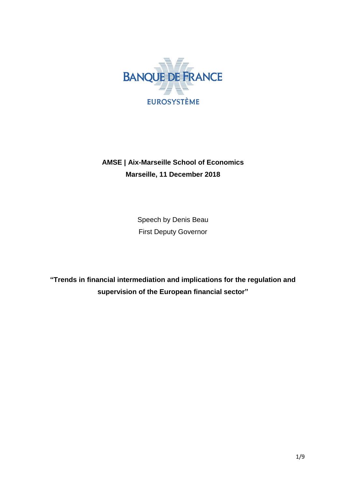

# **AMSE | Aix-Marseille School of Economics Marseille, 11 December 2018**

Speech by Denis Beau First Deputy Governor

**"Trends in financial intermediation and implications for the regulation and supervision of the European financial sector"**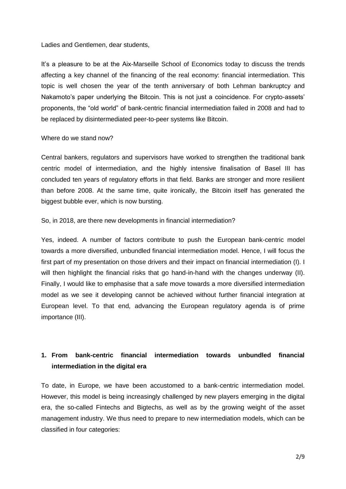Ladies and Gentlemen, dear students,

It's a pleasure to be at the Aix-Marseille School of Economics today to discuss the trends affecting a key channel of the financing of the real economy: financial intermediation. This topic is well chosen the year of the tenth anniversary of both Lehman bankruptcy and Nakamoto's paper underlying the Bitcoin. This is not just a coincidence. For crypto-assets' proponents, the "old world" of bank-centric financial intermediation failed in 2008 and had to be replaced by disintermediated peer-to-peer systems like Bitcoin.

#### Where do we stand now?

Central bankers, regulators and supervisors have worked to strengthen the traditional bank centric model of intermediation, and the highly intensive finalisation of Basel III has concluded ten years of regulatory efforts in that field. Banks are stronger and more resilient than before 2008. At the same time, quite ironically, the Bitcoin itself has generated the biggest bubble ever, which is now bursting.

#### So, in 2018, are there new developments in financial intermediation?

Yes, indeed. A number of factors contribute to push the European bank-centric model towards a more diversified, unbundled financial intermediation model. Hence, I will focus the first part of my presentation on those drivers and their impact on financial intermediation (I). I will then highlight the financial risks that go hand-in-hand with the changes underway (II). Finally, I would like to emphasise that a safe move towards a more diversified intermediation model as we see it developing cannot be achieved without further financial integration at European level. To that end, advancing the European regulatory agenda is of prime importance (III).

### **1. From bank-centric financial intermediation towards unbundled financial intermediation in the digital era**

To date, in Europe, we have been accustomed to a bank-centric intermediation model. However, this model is being increasingly challenged by new players emerging in the digital era, the so-called Fintechs and Bigtechs, as well as by the growing weight of the asset management industry. We thus need to prepare to new intermediation models, which can be classified in four categories: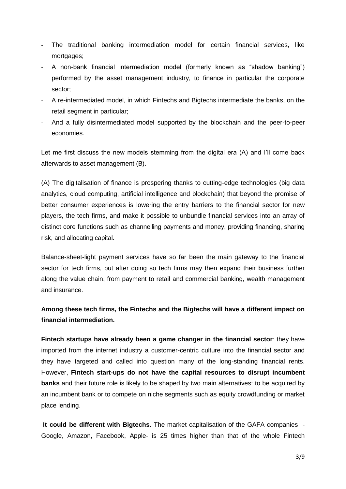- The traditional banking intermediation model for certain financial services, like mortgages;
- A non-bank financial intermediation model (formerly known as "shadow banking") performed by the asset management industry, to finance in particular the corporate sector;
- A re-intermediated model, in which Fintechs and Bigtechs intermediate the banks, on the retail segment in particular;
- And a fully disintermediated model supported by the blockchain and the peer-to-peer economies.

Let me first discuss the new models stemming from the digital era (A) and I'll come back afterwards to asset management (B).

(A) The digitalisation of finance is prospering thanks to cutting-edge technologies (big data analytics, cloud computing, artificial intelligence and blockchain) that beyond the promise of better consumer experiences is lowering the entry barriers to the financial sector for new players, the tech firms, and make it possible to unbundle financial services into an array of distinct core functions such as channelling payments and money, providing financing, sharing risk, and allocating capital.

Balance-sheet-light payment services have so far been the main gateway to the financial sector for tech firms, but after doing so tech firms may then expand their business further along the value chain, from payment to retail and commercial banking, wealth management and insurance.

**Among these tech firms, the Fintechs and the Bigtechs will have a different impact on financial intermediation.** 

**Fintech startups have already been a game changer in the financial sector**: they have imported from the internet industry a customer-centric culture into the financial sector and they have targeted and called into question many of the long-standing financial rents. However, **Fintech start-ups do not have the capital resources to disrupt incumbent banks** and their future role is likely to be shaped by two main alternatives: to be acquired by an incumbent bank or to compete on niche segments such as equity crowdfunding or market place lending.

**It could be different with Bigtechs.** The market capitalisation of the GAFA companies - Google, Amazon, Facebook, Apple- is 25 times higher than that of the whole Fintech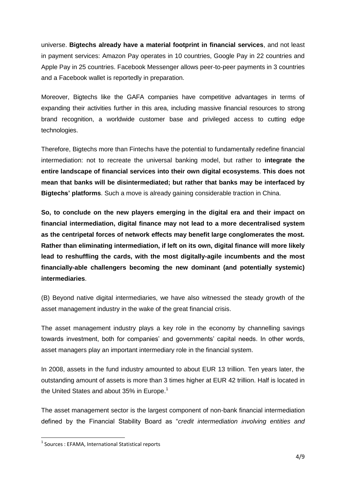universe. **Bigtechs already have a material footprint in financial services**, and not least in payment services: Amazon Pay operates in 10 countries, Google Pay in 22 countries and Apple Pay in 25 countries. Facebook Messenger allows peer-to-peer payments in 3 countries and a Facebook wallet is reportedly in preparation.

Moreover, Bigtechs like the GAFA companies have competitive advantages in terms of expanding their activities further in this area, including massive financial resources to strong brand recognition, a worldwide customer base and privileged access to cutting edge technologies.

Therefore, Bigtechs more than Fintechs have the potential to fundamentally redefine financial intermediation: not to recreate the universal banking model, but rather to **integrate the entire landscape of financial services into their own digital ecosystems**. **This does not mean that banks will be disintermediated; but rather that banks may be interfaced by Bigtechs' platforms**. Such a move is already gaining considerable traction in China.

**So, to conclude on the new players emerging in the digital era and their impact on financial intermediation, digital finance may not lead to a more decentralised system as the centripetal forces of network effects may benefit large conglomerates the most. Rather than eliminating intermediation, if left on its own, digital finance will more likely lead to reshuffling the cards, with the most digitally-agile incumbents and the most financially-able challengers becoming the new dominant (and potentially systemic) intermediaries**.

(B) Beyond native digital intermediaries, we have also witnessed the steady growth of the asset management industry in the wake of the great financial crisis.

The asset management industry plays a key role in the economy by channelling savings towards investment, both for companies' and governments' capital needs. In other words, asset managers play an important intermediary role in the financial system.

In 2008, assets in the fund industry amounted to about EUR 13 trillion. Ten years later, the outstanding amount of assets is more than 3 times higher at EUR 42 trillion. Half is located in the United States and about 35% in Europe.<sup>1</sup>

The asset management sector is the largest component of non-bank financial intermediation defined by the Financial Stability Board as "*credit intermediation involving entities and* 

 $\overline{\phantom{a}}$ 

<sup>&</sup>lt;sup>1</sup> Sources : EFAMA, International Statistical reports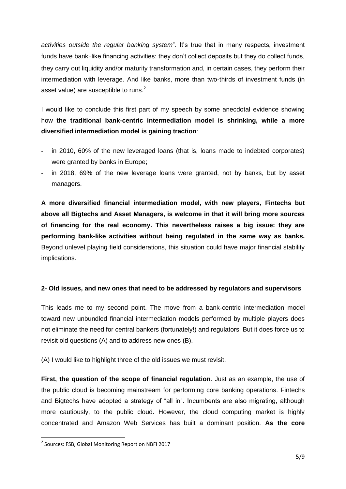*activities outside the regular banking system*". It's true that in many respects, investment funds have bank-like financing activities: they don't collect deposits but they do collect funds, they carry out liquidity and/or maturity transformation and, in certain cases, they perform their intermediation with leverage. And like banks, more than two-thirds of investment funds (in asset value) are susceptible to runs.<sup>2</sup>

I would like to conclude this first part of my speech by some anecdotal evidence showing how **the traditional bank-centric intermediation model is shrinking, while a more diversified intermediation model is gaining traction**:

- in 2010, 60% of the new leveraged loans (that is, loans made to indebted corporates) were granted by banks in Europe;
- in 2018, 69% of the new leverage loans were granted, not by banks, but by asset managers.

**A more diversified financial intermediation model, with new players, Fintechs but above all Bigtechs and Asset Managers, is welcome in that it will bring more sources of financing for the real economy. This nevertheless raises a big issue: they are performing bank-like activities without being regulated in the same way as banks.**  Beyond unlevel playing field considerations, this situation could have major financial stability implications.

### **2- Old issues, and new ones that need to be addressed by regulators and supervisors**

This leads me to my second point. The move from a bank-centric intermediation model toward new unbundled financial intermediation models performed by multiple players does not eliminate the need for central bankers (fortunately!) and regulators. But it does force us to revisit old questions (A) and to address new ones (B).

(A) I would like to highlight three of the old issues we must revisit.

**First, the question of the scope of financial regulation**. Just as an example, the use of the public cloud is becoming mainstream for performing core banking operations. Fintechs and Bigtechs have adopted a strategy of "all in". Incumbents are also migrating, although more cautiously, to the public cloud. However, the cloud computing market is highly concentrated and Amazon Web Services has built a dominant position. **As the core** 

 $\overline{\phantom{a}}$ 

<sup>&</sup>lt;sup>2</sup> Sources: FSB, Global Monitoring Report on NBFI 2017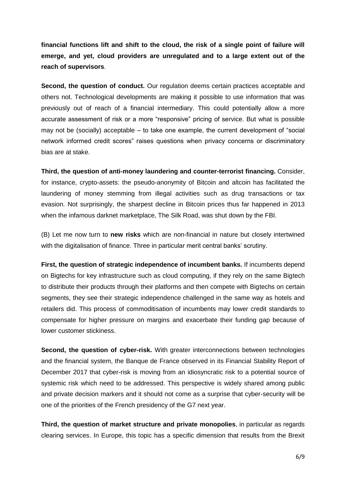**financial functions lift and shift to the cloud, the risk of a single point of failure will emerge, and yet, cloud providers are unregulated and to a large extent out of the reach of supervisors**.

**Second, the question of conduct.** Our regulation deems certain practices acceptable and others not. Technological developments are making it possible to use information that was previously out of reach of a financial intermediary. This could potentially allow a more accurate assessment of risk or a more "responsive" pricing of service. But what is possible may not be (socially) acceptable – to take one example, the current development of "social network informed credit scores" raises questions when privacy concerns or discriminatory bias are at stake.

**Third, the question of anti-money laundering and counter-terrorist financing.** Consider, for instance, crypto-assets: the pseudo-anonymity of Bitcoin and altcoin has facilitated the laundering of money stemming from illegal activities such as drug transactions or tax evasion. Not surprisingly, the sharpest decline in Bitcoin prices thus far happened in 2013 when the infamous darknet marketplace, The Silk Road, was shut down by the FBI.

(B) Let me now turn to **new risks** which are non-financial in nature but closely intertwined with the digitalisation of finance. Three in particular merit central banks' scrutiny.

**First, the question of strategic independence of incumbent banks.** If incumbents depend on Bigtechs for key infrastructure such as cloud computing, if they rely on the same Bigtech to distribute their products through their platforms and then compete with Bigtechs on certain segments, they see their strategic independence challenged in the same way as hotels and retailers did. This process of commoditisation of incumbents may lower credit standards to compensate for higher pressure on margins and exacerbate their funding gap because of lower customer stickiness.

**Second, the question of cyber-risk.** With greater interconnections between technologies and the financial system, the Banque de France observed in its Financial Stability Report of December 2017 that cyber-risk is moving from an idiosyncratic risk to a potential source of systemic risk which need to be addressed. This perspective is widely shared among public and private decision markers and it should not come as a surprise that cyber-security will be one of the priorities of the French presidency of the G7 next year.

**Third, the question of market structure and private monopolies**, in particular as regards clearing services. In Europe, this topic has a specific dimension that results from the Brexit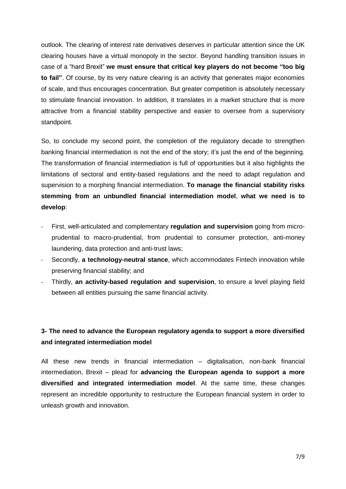outlook. The clearing of interest rate derivatives deserves in particular attention since the UK clearing houses have a virtual monopoly in the sector. Beyond handling transition issues in case of a "hard Brexit" **we must ensure that critical key players do not become "too big to fail"**. Of course, by its very nature clearing is an activity that generates major economies of scale, and thus encourages concentration. But greater competition is absolutely necessary to stimulate financial innovation. In addition, it translates in a market structure that is more attractive from a financial stability perspective and easier to oversee from a supervisory standpoint.

So, to conclude my second point, the completion of the regulatory decade to strengthen banking financial intermediation is not the end of the story; it's just the end of the beginning. The transformation of financial intermediation is full of opportunities but it also highlights the limitations of sectoral and entity-based regulations and the need to adapt regulation and supervision to a morphing financial intermediation. **To manage the financial stability risks stemming from an unbundled financial intermediation model**, **what we need is to develop**:

- First, well-articulated and complementary **regulation and supervision** going from microprudential to macro-prudential, from prudential to consumer protection, anti-money laundering, data protection and anti-trust laws;
- Secondly, a technology-neutral stance, which accommodates Fintech innovation while preserving financial stability; and
- Thirdly, **an activity-based regulation and supervision**, to ensure a level playing field between all entities pursuing the same financial activity.

## **3- The need to advance the European regulatory agenda to support a more diversified and integrated intermediation model**

All these new trends in financial intermediation – digitalisation, non-bank financial intermediation, Brexit – plead for **advancing the European agenda to support a more diversified and integrated intermediation model**. At the same time, these changes represent an incredible opportunity to restructure the European financial system in order to unleash growth and innovation.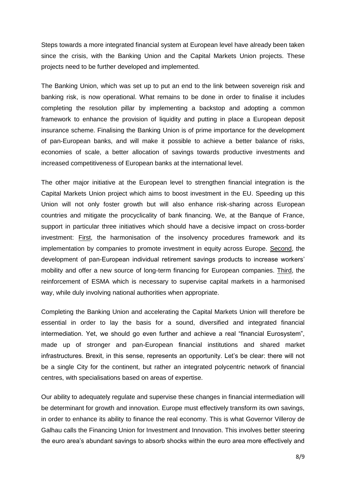Steps towards a more integrated financial system at European level have already been taken since the crisis, with the Banking Union and the Capital Markets Union projects. These projects need to be further developed and implemented.

The Banking Union, which was set up to put an end to the link between sovereign risk and banking risk, is now operational. What remains to be done in order to finalise it includes completing the resolution pillar by implementing a backstop and adopting a common framework to enhance the provision of liquidity and putting in place a European deposit insurance scheme. Finalising the Banking Union is of prime importance for the development of pan-European banks, and will make it possible to achieve a better balance of risks, economies of scale, a better allocation of savings towards productive investments and increased competitiveness of European banks at the international level.

The other major initiative at the European level to strengthen financial integration is the Capital Markets Union project which aims to boost investment in the EU. Speeding up this Union will not only foster growth but will also enhance risk-sharing across European countries and mitigate the procyclicality of bank financing. We, at the Banque of France, support in particular three initiatives which should have a decisive impact on cross-border investment: First, the harmonisation of the insolvency procedures framework and its implementation by companies to promote investment in equity across Europe. Second, the development of pan-European individual retirement savings products to increase workers' mobility and offer a new source of long-term financing for European companies. Third, the reinforcement of ESMA which is necessary to supervise capital markets in a harmonised way, while duly involving national authorities when appropriate.

Completing the Banking Union and accelerating the Capital Markets Union will therefore be essential in order to lay the basis for a sound, diversified and integrated financial intermediation. Yet, we should go even further and achieve a real "financial Eurosystem", made up of stronger and pan-European financial institutions and shared market infrastructures. Brexit, in this sense, represents an opportunity. Let's be clear: there will not be a single City for the continent, but rather an integrated polycentric network of financial centres, with specialisations based on areas of expertise.

Our ability to adequately regulate and supervise these changes in financial intermediation will be determinant for growth and innovation. Europe must effectively transform its own savings, in order to enhance its ability to finance the real economy. This is what Governor Villeroy de Galhau calls the Financing Union for Investment and Innovation. This involves better steering the euro area's abundant savings to absorb shocks within the euro area more effectively and